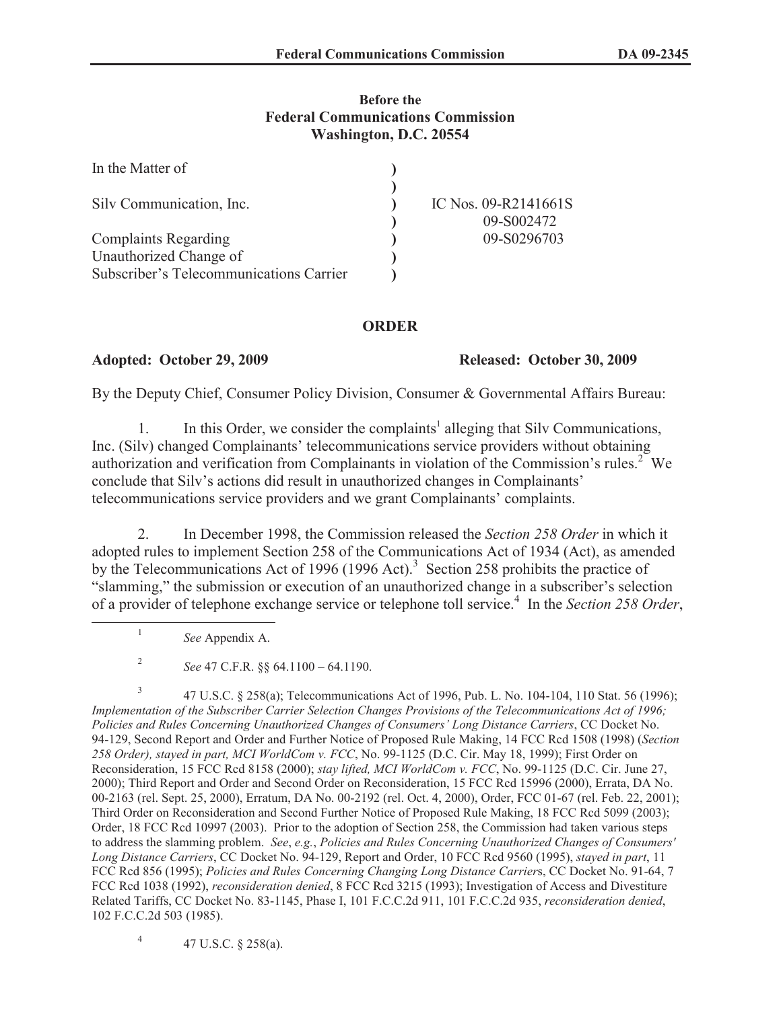## **Before the Federal Communications Commission Washington, D.C. 20554**

| In the Matter of                        |                      |
|-----------------------------------------|----------------------|
|                                         |                      |
| Silv Communication, Inc.                | IC Nos. 09-R2141661S |
|                                         | 09-S002472           |
| <b>Complaints Regarding</b>             | 09-S0296703          |
| Unauthorized Change of                  |                      |
| Subscriber's Telecommunications Carrier |                      |

## **ORDER**

**Adopted: October 29, 2009 Released: October 30, 2009** 

By the Deputy Chief, Consumer Policy Division, Consumer & Governmental Affairs Bureau:

1. In this Order, we consider the complaints<sup>1</sup> alleging that Silv Communications, Inc. (Silv) changed Complainants' telecommunications service providers without obtaining authorization and verification from Complainants in violation of the Commission's rules.<sup>2</sup> We conclude that Silv's actions did result in unauthorized changes in Complainants' telecommunications service providers and we grant Complainants' complaints.

2. In December 1998, the Commission released the *Section 258 Order* in which it adopted rules to implement Section 258 of the Communications Act of 1934 (Act), as amended by the Telecommunications Act of 1996 (1996 Act).<sup>3</sup> Section 258 prohibits the practice of "slamming," the submission or execution of an unauthorized change in a subscriber's selection of a provider of telephone exchange service or telephone toll service.<sup>4</sup> In the *Section 258 Order*,

1

4 47 U.S.C. § 258(a).

*See* Appendix A.

<sup>2</sup> *See* 47 C.F.R. §§ 64.1100 – 64.1190.

<sup>3</sup> 47 U.S.C. § 258(a); Telecommunications Act of 1996, Pub. L. No. 104-104, 110 Stat. 56 (1996); *Implementation of the Subscriber Carrier Selection Changes Provisions of the Telecommunications Act of 1996; Policies and Rules Concerning Unauthorized Changes of Consumers' Long Distance Carriers*, CC Docket No. 94-129, Second Report and Order and Further Notice of Proposed Rule Making, 14 FCC Rcd 1508 (1998) (*Section 258 Order), stayed in part, MCI WorldCom v. FCC*, No. 99-1125 (D.C. Cir. May 18, 1999); First Order on Reconsideration, 15 FCC Rcd 8158 (2000); *stay lifted, MCI WorldCom v. FCC*, No. 99-1125 (D.C. Cir. June 27, 2000); Third Report and Order and Second Order on Reconsideration, 15 FCC Rcd 15996 (2000), Errata, DA No. 00-2163 (rel. Sept. 25, 2000), Erratum, DA No. 00-2192 (rel. Oct. 4, 2000), Order, FCC 01-67 (rel. Feb. 22, 2001); Third Order on Reconsideration and Second Further Notice of Proposed Rule Making, 18 FCC Rcd 5099 (2003); Order, 18 FCC Rcd 10997 (2003). Prior to the adoption of Section 258, the Commission had taken various steps to address the slamming problem. *See*, *e.g.*, *Policies and Rules Concerning Unauthorized Changes of Consumers' Long Distance Carriers*, CC Docket No. 94-129, Report and Order, 10 FCC Rcd 9560 (1995), *stayed in part*, 11 FCC Rcd 856 (1995); *Policies and Rules Concerning Changing Long Distance Carrier*s, CC Docket No. 91-64, 7 FCC Rcd 1038 (1992), *reconsideration denied*, 8 FCC Rcd 3215 (1993); Investigation of Access and Divestiture Related Tariffs, CC Docket No. 83-1145, Phase I, 101 F.C.C.2d 911, 101 F.C.C.2d 935, *reconsideration denied*, 102 F.C.C.2d 503 (1985).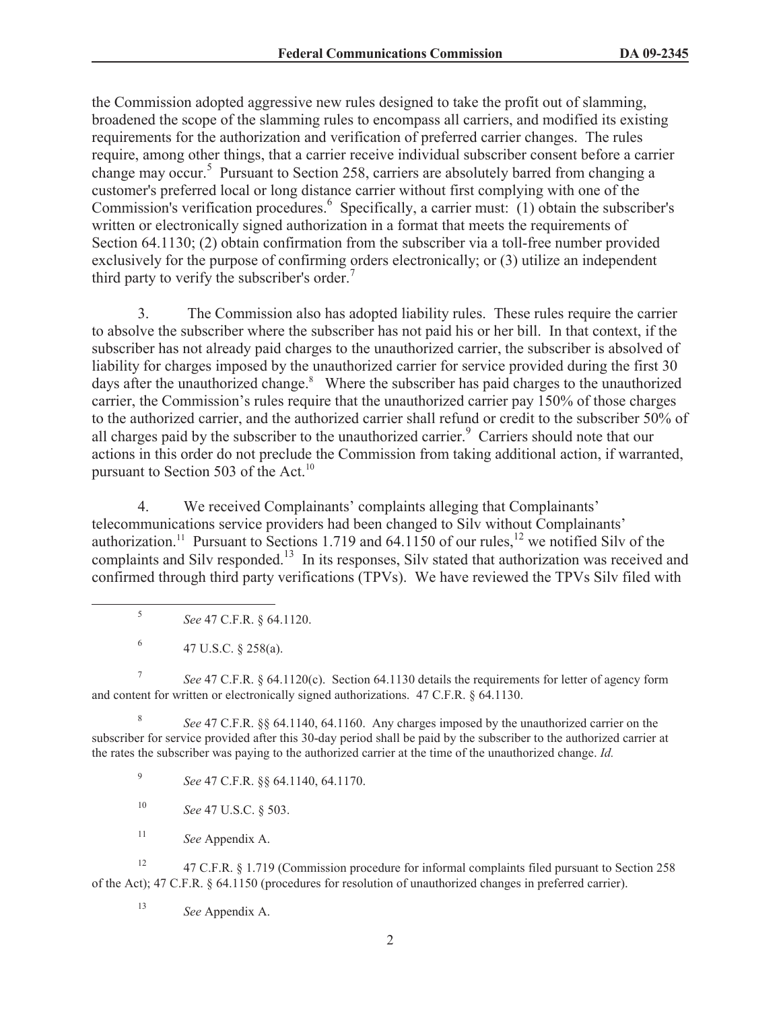the Commission adopted aggressive new rules designed to take the profit out of slamming, broadened the scope of the slamming rules to encompass all carriers, and modified its existing requirements for the authorization and verification of preferred carrier changes. The rules require, among other things, that a carrier receive individual subscriber consent before a carrier change may occur.<sup>5</sup> Pursuant to Section 258, carriers are absolutely barred from changing a customer's preferred local or long distance carrier without first complying with one of the Commission's verification procedures.<sup>6</sup> Specifically, a carrier must: (1) obtain the subscriber's written or electronically signed authorization in a format that meets the requirements of Section 64.1130; (2) obtain confirmation from the subscriber via a toll-free number provided exclusively for the purpose of confirming orders electronically; or (3) utilize an independent third party to verify the subscriber's order.<sup>7</sup>

3. The Commission also has adopted liability rules. These rules require the carrier to absolve the subscriber where the subscriber has not paid his or her bill. In that context, if the subscriber has not already paid charges to the unauthorized carrier, the subscriber is absolved of liability for charges imposed by the unauthorized carrier for service provided during the first 30 days after the unauthorized change.<sup>8</sup> Where the subscriber has paid charges to the unauthorized carrier, the Commission's rules require that the unauthorized carrier pay 150% of those charges to the authorized carrier, and the authorized carrier shall refund or credit to the subscriber 50% of all charges paid by the subscriber to the unauthorized carrier.<sup>9</sup> Carriers should note that our actions in this order do not preclude the Commission from taking additional action, if warranted, pursuant to Section 503 of the Act.<sup>10</sup>

4. We received Complainants' complaints alleging that Complainants' telecommunications service providers had been changed to Silv without Complainants' authorization.<sup>11</sup> Pursuant to Sections 1.719 and 64.1150 of our rules,<sup>12</sup> we notified Silv of the complaints and Silv responded.<sup>13</sup> In its responses, Silv stated that authorization was received and confirmed through third party verifications (TPVs). We have reviewed the TPVs Silv filed with

- 5 *See* 47 C.F.R. § 64.1120.
- 6 47 U.S.C. § 258(a).

7 *See* 47 C.F.R. § 64.1120(c). Section 64.1130 details the requirements for letter of agency form and content for written or electronically signed authorizations. 47 C.F.R. § 64.1130.

8 *See* 47 C.F.R. §§ 64.1140, 64.1160. Any charges imposed by the unauthorized carrier on the subscriber for service provided after this 30-day period shall be paid by the subscriber to the authorized carrier at the rates the subscriber was paying to the authorized carrier at the time of the unauthorized change. *Id.*

9 *See* 47 C.F.R. §§ 64.1140, 64.1170.

- <sup>10</sup> *See* 47 U.S.C. § 503.
- <sup>11</sup> *See* Appendix A.

<sup>12</sup> 47 C.F.R. § 1.719 (Commission procedure for informal complaints filed pursuant to Section 258 of the Act); 47 C.F.R. § 64.1150 (procedures for resolution of unauthorized changes in preferred carrier).

<sup>13</sup> *See* Appendix A.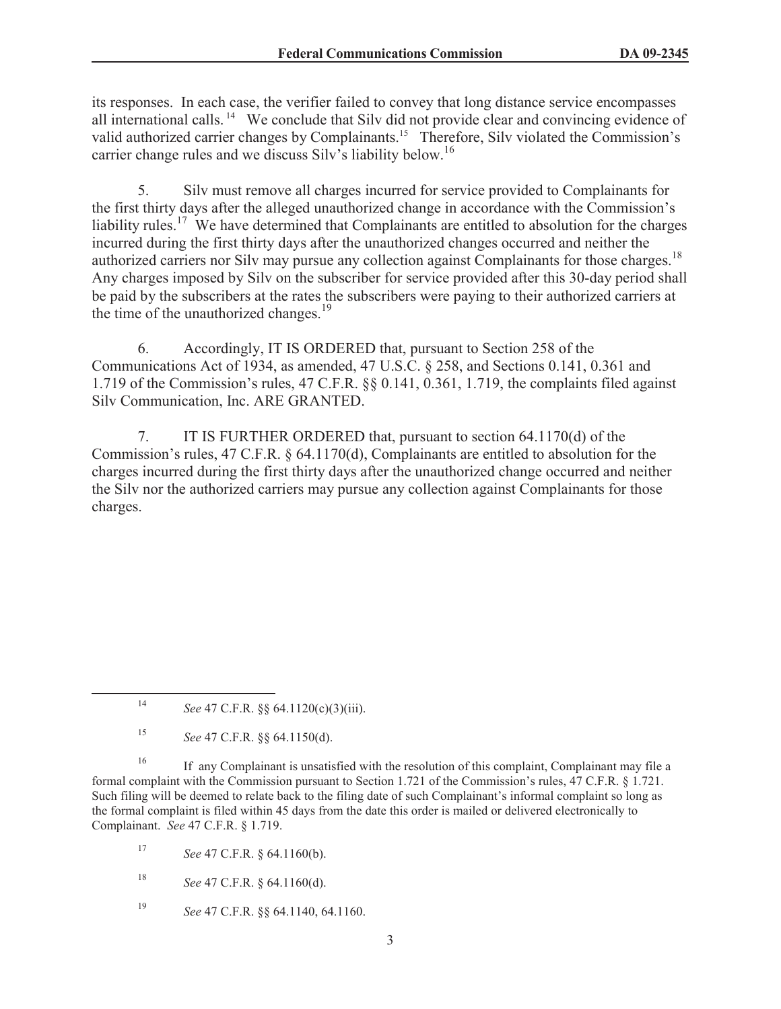its responses. In each case, the verifier failed to convey that long distance service encompasses all international calls. <sup>14</sup> We conclude that Silv did not provide clear and convincing evidence of valid authorized carrier changes by Complainants.<sup>15</sup> Therefore, Silv violated the Commission's carrier change rules and we discuss Silv's liability below.<sup>16</sup>

5. Silv must remove all charges incurred for service provided to Complainants for the first thirty days after the alleged unauthorized change in accordance with the Commission's liability rules.<sup>17</sup> We have determined that Complainants are entitled to absolution for the charges incurred during the first thirty days after the unauthorized changes occurred and neither the authorized carriers nor Silv may pursue any collection against Complainants for those charges.<sup>18</sup> Any charges imposed by Silv on the subscriber for service provided after this 30-day period shall be paid by the subscribers at the rates the subscribers were paying to their authorized carriers at the time of the unauthorized changes.<sup>19</sup>

6. Accordingly, IT IS ORDERED that, pursuant to Section 258 of the Communications Act of 1934, as amended, 47 U.S.C. § 258, and Sections 0.141, 0.361 and 1.719 of the Commission's rules, 47 C.F.R. §§ 0.141, 0.361, 1.719, the complaints filed against Silv Communication, Inc. ARE GRANTED.

7. IT IS FURTHER ORDERED that, pursuant to section 64.1170(d) of the Commission's rules, 47 C.F.R. § 64.1170(d), Complainants are entitled to absolution for the charges incurred during the first thirty days after the unauthorized change occurred and neither the Silv nor the authorized carriers may pursue any collection against Complainants for those charges.

<sup>16</sup> If any Complainant is unsatisfied with the resolution of this complaint, Complainant may file a formal complaint with the Commission pursuant to Section 1.721 of the Commission's rules, 47 C.F.R. § 1.721. Such filing will be deemed to relate back to the filing date of such Complainant's informal complaint so long as the formal complaint is filed within 45 days from the date this order is mailed or delivered electronically to Complainant. *See* 47 C.F.R. § 1.719.

<sup>17</sup> *See* 47 C.F.R. § 64.1160(b).

- <sup>18</sup> *See* 47 C.F.R. § 64.1160(d).
- <sup>19</sup> *See* 47 C.F.R. §§ 64.1140, 64.1160.

<sup>14</sup> *See* 47 C.F.R. §§ 64.1120(c)(3)(iii).

<sup>15</sup> *See* 47 C.F.R. §§ 64.1150(d).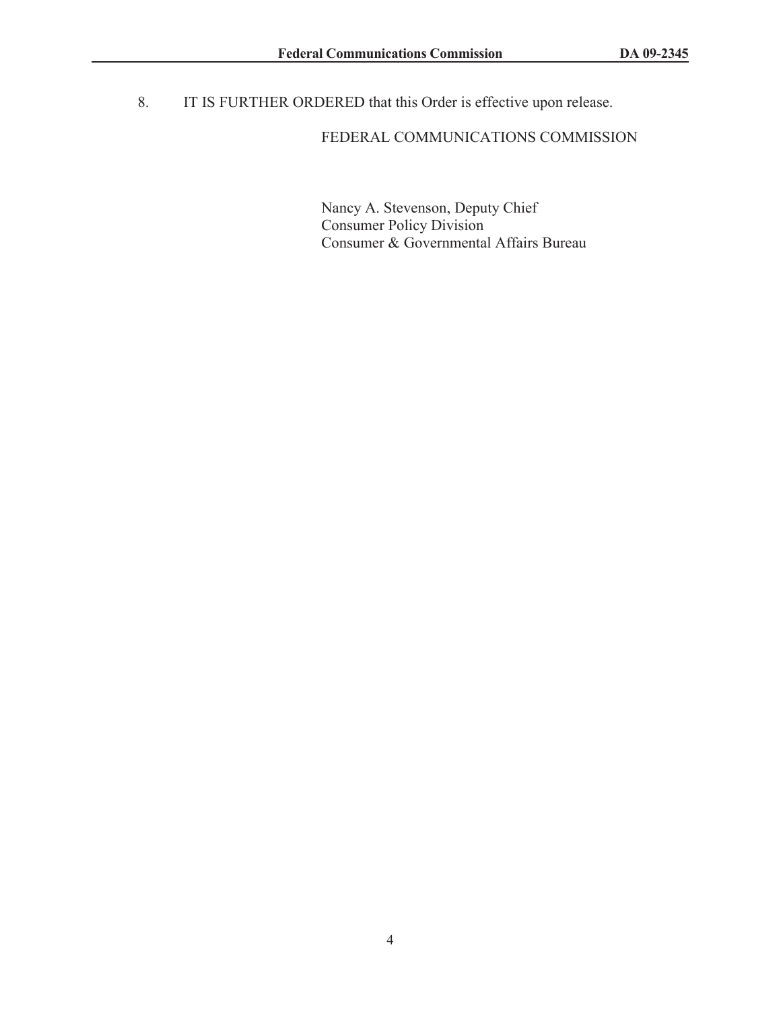8. IT IS FURTHER ORDERED that this Order is effective upon release.

## FEDERAL COMMUNICATIONS COMMISSION

Nancy A. Stevenson, Deputy Chief Consumer Policy Division Consumer & Governmental Affairs Bureau